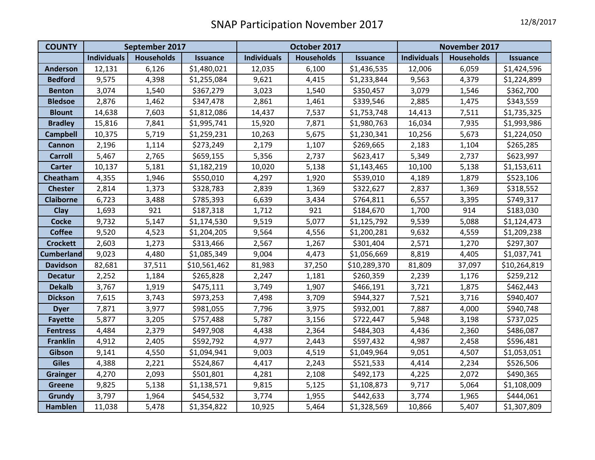| <b>COUNTY</b>     | September 2017     |                   |                 | October 2017       |                   |                 | November 2017      |                   |                 |
|-------------------|--------------------|-------------------|-----------------|--------------------|-------------------|-----------------|--------------------|-------------------|-----------------|
|                   | <b>Individuals</b> | <b>Households</b> | <b>Issuance</b> | <b>Individuals</b> | <b>Households</b> | <b>Issuance</b> | <b>Individuals</b> | <b>Households</b> | <b>Issuance</b> |
| <b>Anderson</b>   | 12,131             | 6,126             | \$1,480,021     | 12,035             | 6,100             | \$1,436,535     | 12,006             | 6,059             | \$1,424,596     |
| <b>Bedford</b>    | 9,575              | 4,398             | \$1,255,084     | 9,621              | 4,415             | \$1,233,844     | 9,563              | 4,379             | \$1,224,899     |
| <b>Benton</b>     | 3,074              | 1,540             | \$367,279       | 3,023              | 1,540             | \$350,457       | 3,079              | 1,546             | \$362,700       |
| <b>Bledsoe</b>    | 2,876              | 1,462             | \$347,478       | 2,861              | 1,461             | \$339,546       | 2,885              | 1,475             | \$343,559       |
| <b>Blount</b>     | 14,638             | 7,603             | \$1,812,086     | 14,437             | 7,537             | \$1,753,748     | 14,413             | 7,511             | \$1,735,325     |
| <b>Bradley</b>    | 15,816             | 7,841             | \$1,995,741     | 15,920             | 7,871             | \$1,980,763     | 16,034             | 7,935             | \$1,993,986     |
| <b>Campbell</b>   | 10,375             | 5,719             | \$1,259,231     | 10,263             | 5,675             | \$1,230,341     | 10,256             | 5,673             | \$1,224,050     |
| Cannon            | 2,196              | 1,114             | \$273,249       | 2,179              | 1,107             | \$269,665       | 2,183              | 1,104             | \$265,285       |
| <b>Carroll</b>    | 5,467              | 2,765             | \$659,155       | 5,356              | 2,737             | \$623,417       | 5,349              | 2,737             | \$623,997       |
| <b>Carter</b>     | 10,137             | 5,181             | \$1,182,219     | 10,020             | 5,138             | \$1,143,465     | 10,100             | 5,138             | \$1,153,611     |
| Cheatham          | 4,355              | 1,946             | \$550,010       | 4,297              | 1,920             | \$539,010       | 4,189              | 1,879             | \$523,106       |
| <b>Chester</b>    | 2,814              | 1,373             | \$328,783       | 2,839              | 1,369             | \$322,627       | 2,837              | 1,369             | \$318,552       |
| <b>Claiborne</b>  | 6,723              | 3,488             | \$785,393       | 6,639              | 3,434             | \$764,811       | 6,557              | 3,395             | \$749,317       |
| Clay              | 1,693              | 921               | \$187,318       | 1,712              | 921               | \$184,670       | 1,700              | 914               | \$183,030       |
| <b>Cocke</b>      | 9,732              | 5,147             | \$1,174,530     | 9,519              | 5,077             | \$1,125,792     | 9,539              | 5,088             | \$1,124,473     |
| <b>Coffee</b>     | 9,520              | 4,523             | \$1,204,205     | 9,564              | 4,556             | \$1,200,281     | 9,632              | 4,559             | \$1,209,238     |
| <b>Crockett</b>   | 2,603              | 1,273             | \$313,466       | 2,567              | 1,267             | \$301,404       | 2,571              | 1,270             | \$297,307       |
| <b>Cumberland</b> | 9,023              | 4,480             | \$1,085,349     | 9,004              | 4,473             | \$1,056,669     | 8,819              | 4,405             | \$1,037,741     |
| <b>Davidson</b>   | 82,681             | 37,511            | \$10,561,462    | 81,983             | 37,250            | \$10,289,370    | 81,809             | 37,097            | \$10,264,819    |
| <b>Decatur</b>    | 2,252              | 1,184             | \$265,828       | 2,247              | 1,181             | \$260,359       | 2,239              | 1,176             | \$259,212       |
| <b>Dekalb</b>     | 3,767              | 1,919             | \$475,111       | 3,749              | 1,907             | \$466,191       | 3,721              | 1,875             | \$462,443       |
| <b>Dickson</b>    | 7,615              | 3,743             | \$973,253       | 7,498              | 3,709             | \$944,327       | 7,521              | 3,716             | \$940,407       |
| <b>Dyer</b>       | 7,871              | 3,977             | \$981,055       | 7,796              | 3,975             | \$932,001       | 7,887              | 4,000             | \$940,748       |
| <b>Fayette</b>    | 5,877              | 3,205             | \$757,488       | 5,787              | 3,156             | \$722,447       | 5,948              | 3,198             | \$737,025       |
| <b>Fentress</b>   | 4,484              | 2,379             | \$497,908       | 4,438              | 2,364             | \$484,303       | 4,436              | 2,360             | \$486,087       |
| <b>Franklin</b>   | 4,912              | 2,405             | \$592,792       | 4,977              | 2,443             | \$597,432       | 4,987              | 2,458             | \$596,481       |
| Gibson            | 9,141              | 4,550             | \$1,094,941     | 9,003              | 4,519             | \$1,049,964     | 9,051              | 4,507             | \$1,053,051     |
| <b>Giles</b>      | 4,388              | 2,221             | \$524,867       | 4,417              | 2,243             | \$521,533       | 4,414              | 2,234             | \$526,506       |
| <b>Grainger</b>   | 4,270              | 2,093             | \$501,801       | 4,281              | 2,108             | \$492,173       | 4,225              | 2,072             | \$490,365       |
| <b>Greene</b>     | 9,825              | 5,138             | \$1,138,571     | 9,815              | 5,125             | \$1,108,873     | 9,717              | 5,064             | \$1,108,009     |
| <b>Grundy</b>     | 3,797              | 1,964             | \$454,532       | 3,774              | 1,955             | \$442,633       | 3,774              | 1,965             | \$444,061       |
| Hamblen           | 11,038             | 5,478             | \$1,354,822     | 10,925             | 5,464             | \$1,328,569     | 10,866             | 5,407             | \$1,307,809     |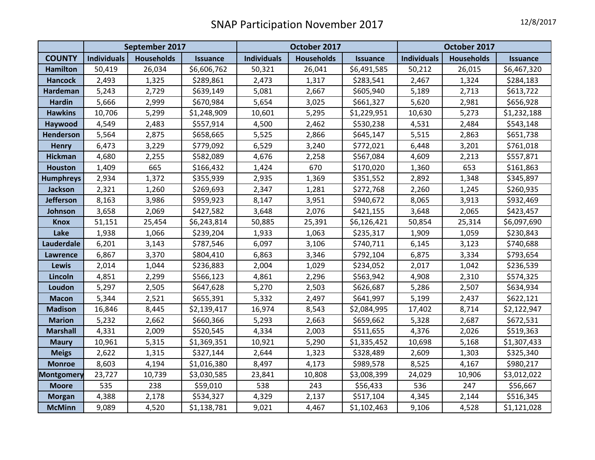|                   | September 2017     |                   |                 | October 2017       |                   |                 | October 2017       |                   |                 |
|-------------------|--------------------|-------------------|-----------------|--------------------|-------------------|-----------------|--------------------|-------------------|-----------------|
| <b>COUNTY</b>     | <b>Individuals</b> | <b>Households</b> | <b>Issuance</b> | <b>Individuals</b> | <b>Households</b> | <b>Issuance</b> | <b>Individuals</b> | <b>Households</b> | <b>Issuance</b> |
| <b>Hamilton</b>   | 50,419             | 26,034            | \$6,606,762     | 50,321             | 26,041            | \$6,491,585     | 50,212             | 26,015            | \$6,467,320     |
| <b>Hancock</b>    | 2,493              | 1,325             | \$289,861       | 2,473              | 1,317             | \$283,541       | 2,467              | 1,324             | \$284,183       |
| Hardeman          | 5,243              | 2,729             | \$639,149       | 5,081              | 2,667             | \$605,940       | 5,189              | 2,713             | \$613,722       |
| <b>Hardin</b>     | 5,666              | 2,999             | \$670,984       | 5,654              | 3,025             | \$661,327       | 5,620              | 2,981             | \$656,928       |
| <b>Hawkins</b>    | 10,706             | 5,299             | \$1,248,909     | 10,601             | 5,295             | \$1,229,951     | 10,630             | 5,273             | \$1,232,188     |
| Haywood           | 4,549              | 2,483             | \$557,914       | 4,500              | 2,462             | \$530,238       | 4,531              | 2,484             | \$543,148       |
| Henderson         | 5,564              | 2,875             | \$658,665       | 5,525              | 2,866             | \$645,147       | 5,515              | 2,863             | \$651,738       |
| <b>Henry</b>      | 6,473              | 3,229             | \$779,092       | 6,529              | 3,240             | \$772,021       | 6,448              | 3,201             | \$761,018       |
| <b>Hickman</b>    | 4,680              | 2,255             | \$582,089       | 4,676              | 2,258             | \$567,084       | 4,609              | 2,213             | \$557,871       |
| <b>Houston</b>    | 1,409              | 665               | \$166,432       | 1,424              | 670               | \$170,020       | 1,360              | 653               | \$161,863       |
| <b>Humphreys</b>  | 2,934              | 1,372             | \$355,939       | 2,935              | 1,369             | \$351,552       | 2,892              | 1,348             | \$345,897       |
| <b>Jackson</b>    | 2,321              | 1,260             | \$269,693       | 2,347              | 1,281             | \$272,768       | 2,260              | 1,245             | \$260,935       |
| Jefferson         | 8,163              | 3,986             | \$959,923       | 8,147              | 3,951             | \$940,672       | 8,065              | 3,913             | \$932,469       |
| Johnson           | 3,658              | 2,069             | \$427,582       | 3,648              | 2,076             | \$421,155       | 3,648              | 2,065             | \$423,457       |
| <b>Knox</b>       | 51,151             | 25,454            | \$6,243,814     | 50,885             | 25,391            | \$6,126,421     | 50,854             | 25,314            | \$6,097,690     |
| Lake              | 1,938              | 1,066             | \$239,204       | 1,933              | 1,063             | \$235,317       | 1,909              | 1,059             | \$230,843       |
| Lauderdale        | 6,201              | 3,143             | \$787,546       | 6,097              | 3,106             | \$740,711       | 6,145              | 3,123             | \$740,688       |
| Lawrence          | 6,867              | 3,370             | \$804,410       | 6,863              | 3,346             | \$792,104       | 6,875              | 3,334             | \$793,654       |
| <b>Lewis</b>      | 2,014              | 1,044             | \$236,883       | 2,004              | 1,029             | \$234,052       | 2,017              | 1,042             | \$236,539       |
| Lincoln           | 4,851              | 2,299             | \$566,123       | 4,861              | 2,296             | \$563,942       | 4,908              | 2,310             | \$574,325       |
| Loudon            | 5,297              | 2,505             | \$647,628       | 5,270              | 2,503             | \$626,687       | 5,286              | 2,507             | \$634,934       |
| <b>Macon</b>      | 5,344              | 2,521             | \$655,391       | 5,332              | 2,497             | \$641,997       | 5,199              | 2,437             | \$622,121       |
| <b>Madison</b>    | 16,846             | 8,445             | \$2,139,417     | 16,974             | 8,543             | \$2,084,995     | 17,402             | 8,714             | \$2,122,947     |
| <b>Marion</b>     | 5,232              | 2,662             | \$660,366       | 5,293              | 2,663             | \$659,662       | 5,328              | 2,687             | \$672,531       |
| <b>Marshall</b>   | 4,331              | 2,009             | \$520,545       | 4,334              | 2,003             | \$511,655       | 4,376              | 2,026             | \$519,363       |
| <b>Maury</b>      | 10,961             | 5,315             | \$1,369,351     | 10,921             | 5,290             | \$1,335,452     | 10,698             | 5,168             | \$1,307,433     |
| <b>Meigs</b>      | 2,622              | 1,315             | \$327,144       | 2,644              | 1,323             | \$328,489       | 2,609              | 1,303             | \$325,340       |
| <b>Monroe</b>     | 8,603              | 4,194             | \$1,016,380     | 8,497              | 4,173             | \$989,578       | 8,525              | 4,167             | \$980,217       |
| <b>Montgomery</b> | 23,727             | 10,739            | \$3,030,585     | 23,841             | 10,808            | \$3,008,399     | 24,029             | 10,906            | \$3,012,022     |
| <b>Moore</b>      | 535                | 238               | \$59,010        | 538                | 243               | \$56,433        | 536                | 247               | \$56,667        |
| <b>Morgan</b>     | 4,388              | 2,178             | \$534,327       | 4,329              | 2,137             | \$517,104       | 4,345              | 2,144             | \$516,345       |
| <b>McMinn</b>     | 9,089              | 4,520             | \$1,138,781     | 9,021              | 4,467             | \$1,102,463     | 9,106              | 4,528             | \$1,121,028     |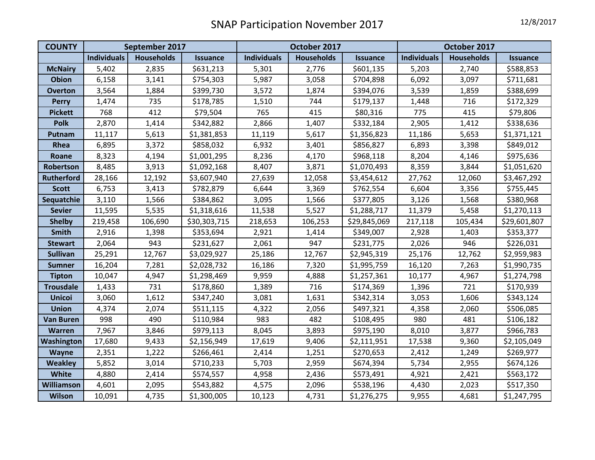| <b>COUNTY</b>     | September 2017     |                   |                 | October 2017       |                   |                 | October 2017       |                   |                 |
|-------------------|--------------------|-------------------|-----------------|--------------------|-------------------|-----------------|--------------------|-------------------|-----------------|
|                   | <b>Individuals</b> | <b>Households</b> | <b>Issuance</b> | <b>Individuals</b> | <b>Households</b> | <b>Issuance</b> | <b>Individuals</b> | <b>Households</b> | <b>Issuance</b> |
| <b>McNairy</b>    | 5,402              | 2,835             | \$631,213       | 5,301              | 2,776             | \$601,135       | 5,203              | 2,740             | \$588,853       |
| <b>Obion</b>      | 6,158              | 3,141             | \$754,303       | 5,987              | 3,058             | \$704,898       | 6,092              | 3,097             | \$711,681       |
| <b>Overton</b>    | 3,564              | 1,884             | \$399,730       | 3,572              | 1,874             | \$394,076       | 3,539              | 1,859             | \$388,699       |
| <b>Perry</b>      | 1,474              | 735               | \$178,785       | 1,510              | 744               | \$179,137       | 1,448              | 716               | \$172,329       |
| <b>Pickett</b>    | 768                | 412               | \$79,504        | 765                | 415               | \$80,316        | 775                | 415               | \$79,806        |
| <b>Polk</b>       | 2,870              | 1,414             | \$342,882       | 2,866              | 1,407             | \$332,184       | 2,905              | 1,412             | \$338,636       |
| Putnam            | 11,117             | 5,613             | \$1,381,853     | 11,119             | 5,617             | \$1,356,823     | 11,186             | 5,653             | \$1,371,121     |
| Rhea              | 6,895              | 3,372             | \$858,032       | 6,932              | 3,401             | \$856,827       | 6,893              | 3,398             | \$849,012       |
| Roane             | 8,323              | 4,194             | \$1,001,295     | 8,236              | 4,170             | \$968,118       | 8,204              | 4,146             | \$975,636       |
| Robertson         | 8,485              | 3,913             | \$1,092,168     | 8,407              | 3,871             | \$1,070,493     | 8,359              | 3,844             | \$1,051,620     |
| <b>Rutherford</b> | 28,166             | 12,192            | \$3,607,940     | 27,639             | 12,058            | \$3,454,612     | 27,762             | 12,060            | \$3,467,292     |
| <b>Scott</b>      | 6,753              | 3,413             | \$782,879       | 6,644              | 3,369             | \$762,554       | 6,604              | 3,356             | \$755,445       |
| Sequatchie        | 3,110              | 1,566             | \$384,862       | 3,095              | 1,566             | \$377,805       | 3,126              | 1,568             | \$380,968       |
| <b>Sevier</b>     | 11,595             | 5,535             | \$1,318,616     | 11,538             | 5,527             | \$1,288,717     | 11,379             | 5,458             | \$1,270,113     |
| <b>Shelby</b>     | 219,458            | 106,690           | \$30,303,715    | 218,653            | 106,253           | \$29,845,069    | 217,118            | 105,434           | \$29,601,807    |
| Smith             | 2,916              | 1,398             | \$353,694       | 2,921              | 1,414             | \$349,007       | 2,928              | 1,403             | \$353,377       |
| <b>Stewart</b>    | 2,064              | 943               | \$231,627       | 2,061              | 947               | \$231,775       | 2,026              | 946               | \$226,031       |
| <b>Sullivan</b>   | 25,291             | 12,767            | \$3,029,927     | 25,186             | 12,767            | \$2,945,319     | 25,176             | 12,762            | \$2,959,983     |
| <b>Sumner</b>     | 16,204             | 7,281             | \$2,028,732     | 16,186             | 7,320             | \$1,995,759     | 16,120             | 7,263             | \$1,990,735     |
| <b>Tipton</b>     | 10,047             | 4,947             | \$1,298,469     | 9,959              | 4,888             | \$1,257,361     | 10,177             | 4,967             | \$1,274,798     |
| <b>Trousdale</b>  | 1,433              | 731               | \$178,860       | 1,389              | 716               | \$174,369       | 1,396              | 721               | \$170,939       |
| <b>Unicoi</b>     | 3,060              | 1,612             | \$347,240       | 3,081              | 1,631             | \$342,314       | 3,053              | 1,606             | \$343,124       |
| <b>Union</b>      | 4,374              | 2,074             | \$511,115       | 4,322              | 2,056             | \$497,321       | 4,358              | 2,060             | \$506,085       |
| <b>Van Buren</b>  | 998                | 490               | \$110,984       | 983                | 482               | \$108,495       | 980                | 481               | \$106,182       |
| <b>Warren</b>     | 7,967              | 3,846             | \$979,113       | 8,045              | 3,893             | \$975,190       | 8,010              | 3,877             | \$966,783       |
| Washington        | 17,680             | 9,433             | \$2,156,949     | 17,619             | 9,406             | \$2,111,951     | 17,538             | 9,360             | \$2,105,049     |
| Wayne             | 2,351              | 1,222             | \$266,461       | 2,414              | 1,251             | \$270,653       | 2,412              | 1,249             | \$269,977       |
| <b>Weakley</b>    | 5,852              | 3,014             | \$710,233       | 5,703              | 2,959             | \$674,394       | 5,734              | 2,955             | \$674,126       |
| White             | 4,880              | 2,414             | \$574,557       | 4,958              | 2,436             | \$573,491       | 4,921              | 2,421             | \$563,172       |
| Williamson        | 4,601              | 2,095             | \$543,882       | 4,575              | 2,096             | \$538,196       | 4,430              | 2,023             | \$517,350       |
| Wilson            | 10,091             | 4,735             | \$1,300,005     | 10,123             | 4,731             | \$1,276,275     | 9,955              | 4,681             | \$1,247,795     |